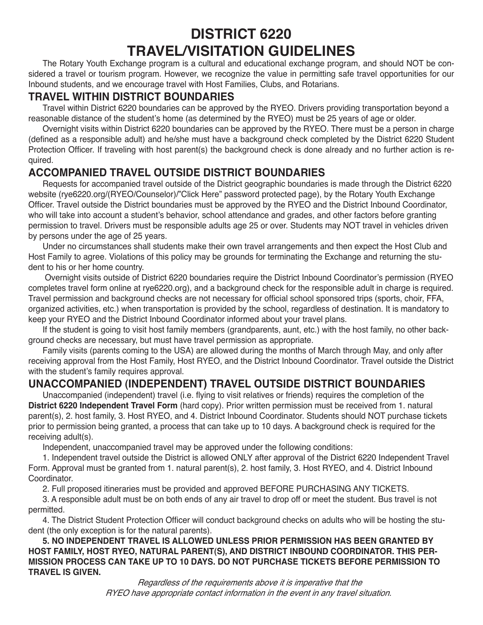# **DISTRICT 6220 TRAVEL/VISITATION GUIDELINES**

The Rotary Youth Exchange program is a cultural and educational exchange program, and should NOT be considered a travel or tourism program. However, we recognize the value in permitting safe travel opportunities for our Inbound students, and we encourage travel with Host Families, Clubs, and Rotarians.

#### **TRAVEL WITHIN DISTRICT BOUNDARIES**

Travel within District 6220 boundaries can be approved by the RYEO. Drivers providing transportation beyond a reasonable distance of the student's home (as determined by the RYEO) must be 25 years of age or older.

Overnight visits within District 6220 boundaries can be approved by the RYEO. There must be a person in charge (defined as a responsible adult) and he/she must have a background check completed by the District 6220 Student Protection Officer. If traveling with host parent(s) the background check is done already and no further action is required.

#### **ACCOMPANIED TRAVEL OUTSIDE DISTRICT BOUNDARIES**

Requests for accompanied travel outside of the District geographic boundaries is made through the District 6220 website (rye6220.org/(RYEO/Counselor)/"Click Here" password protected page), by the Rotary Youth Exchange Officer. Travel outside the District boundaries must be approved by the RYEO and the District Inbound Coordinator, who will take into account a student's behavior, school attendance and grades, and other factors before granting permission to travel. Drivers must be responsible adults age 25 or over. Students may NOT travel in vehicles driven by persons under the age of 25 years.

Under no circumstances shall students make their own travel arrangements and then expect the Host Club and Host Family to agree. Violations of this policy may be grounds for terminating the Exchange and returning the student to his or her home country.

 Overnight visits outside of District 6220 boundaries require the District Inbound Coordinator's permission (RYEO completes travel form online at rye6220.org), and a background check for the responsible adult in charge is required. Travel permission and background checks are not necessary for official school sponsored trips (sports, choir, FFA, organized activities, etc.) when transportation is provided by the school, regardless of destination. It is mandatory to keep your RYEO and the District Inbound Coordinator informed about your travel plans.

If the student is going to visit host family members (grandparents, aunt, etc.) with the host family, no other background checks are necessary, but must have travel permission as appropriate.

Family visits (parents coming to the USA) are allowed during the months of March through May, and only after receiving approval from the Host Family, Host RYEO, and the District Inbound Coordinator. Travel outside the District with the student's family requires approval.

## **UNACCOMPANIED (INDEPENDENT) TRAVEL OUTSIDE DISTRICT BOUNDARIES**

Unaccompanied (independent) travel (i.e. flying to visit relatives or friends) requires the completion of the **District 6220 Independent Travel Form** (hard copy). Prior written permission must be received from 1. natural parent(s), 2. host family, 3. Host RYEO, and 4. District Inbound Coordinator. Students should NOT purchase tickets prior to permission being granted, a process that can take up to 10 days. A background check is required for the receiving adult(s).

Independent, unaccompanied travel may be approved under the following conditions:

1. Independent travel outside the District is allowed ONLY after approval of the District 6220 Independent Travel Form. Approval must be granted from 1. natural parent(s), 2. host family, 3. Host RYEO, and 4. District Inbound Coordinator.

2. Full proposed itineraries must be provided and approved BEFORE PURCHASING ANY TICKETS.

3. A responsible adult must be on both ends of any air travel to drop off or meet the student. Bus travel is not permitted.

4. The District Student Protection Officer will conduct background checks on adults who will be hosting the student (the only exception is for the natural parents).

**5. NO INDEPENDENT TRAVEL IS ALLOWED UNLESS PRIOR PERMISSION HAS BEEN GRANTED BY HOST FAMILY, HOST RYEO, NATURAL PARENT(S), AND DISTRICT INBOUND COORDINATOR. THIS PER-MISSION PROCESS CAN TAKE UP TO 10 DAYS. DO NOT PURCHASE TICKETS BEFORE PERMISSION TO TRAVEL IS GIVEN.**